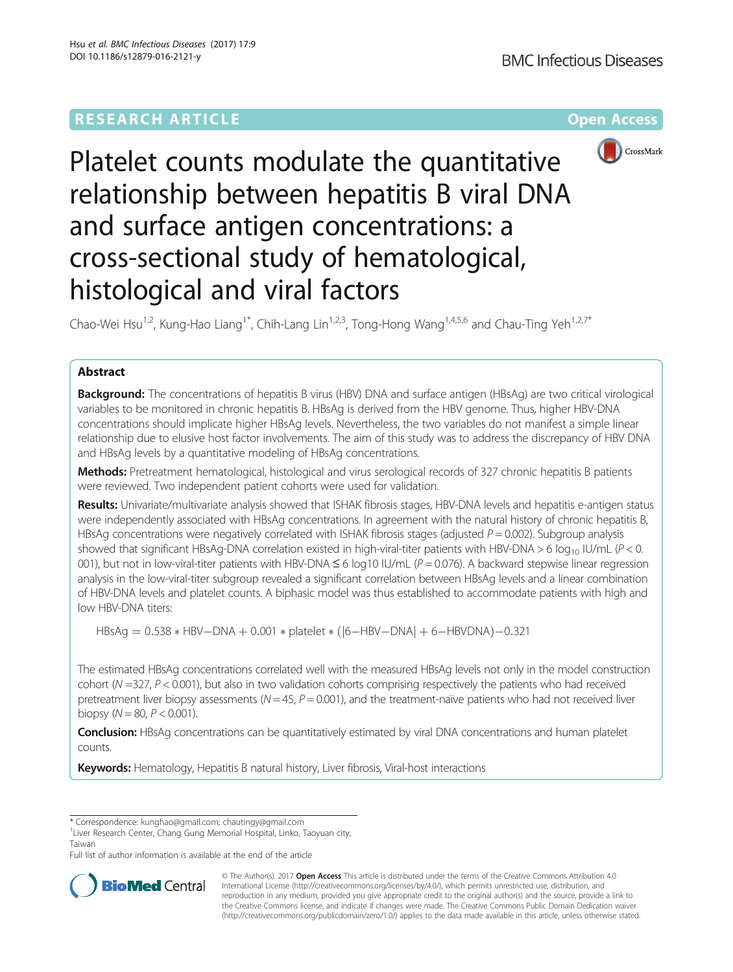# **RESEARCH ARTICLE Example 2014 12:30 The Community Community Community Community Community Community Community**



Platelet counts modulate the quantitative relationship between hepatitis B viral DNA and surface antigen concentrations: a cross-sectional study of hematological, histological and viral factors

Chao-Wei Hsu<sup>1,2</sup>, Kung-Hao Liang<sup>1\*</sup>, Chih-Lang Lin<sup>1,2,3</sup>, Tong-Hong Wang<sup>1,4,5,6</sup> and Chau-Ting Yeh<sup>1,2,7\*</sup>

## Abstract

Background: The concentrations of hepatitis B virus (HBV) DNA and surface antigen (HBsAg) are two critical virological variables to be monitored in chronic hepatitis B. HBsAg is derived from the HBV genome. Thus, higher HBV-DNA concentrations should implicate higher HBsAg levels. Nevertheless, the two variables do not manifest a simple linear relationship due to elusive host factor involvements. The aim of this study was to address the discrepancy of HBV DNA and HBsAg levels by a quantitative modeling of HBsAg concentrations.

Methods: Pretreatment hematological, histological and virus serological records of 327 chronic hepatitis B patients were reviewed. Two independent patient cohorts were used for validation.

Results: Univariate/multivariate analysis showed that ISHAK fibrosis stages, HBV-DNA levels and hepatitis e-antigen status were independently associated with HBsAg concentrations. In agreement with the natural history of chronic hepatitis B, HBsAg concentrations were negatively correlated with ISHAK fibrosis stages (adjusted  $P = 0.002$ ). Subgroup analysis showed that significant HBsAg-DNA correlation existed in high-viral-titer patients with HBV-DNA > 6 log<sub>10</sub> IU/mL ( $P < 0$ . 001), but not in low-viral-titer patients with HBV-DNA  $\leq 6$  log10 IU/mL ( $P = 0.076$ ). A backward stepwise linear regression analysis in the low-viral-titer subgroup revealed a significant correlation between HBsAg levels and a linear combination of HBV-DNA levels and platelet counts. A biphasic model was thus established to accommodate patients with high and low HBV-DNA titers:

 $HBSAg = 0.538 * HBV - DNA + 0.001 * platelet * ([6 - HBV - DNA] + 6 - HBVDNA) - 0.321$ 

The estimated HBsAg concentrations correlated well with the measured HBsAg levels not only in the model construction cohort (N =327, P < 0.001), but also in two validation cohorts comprising respectively the patients who had received pretreatment liver biopsy assessments ( $N = 45$ ,  $P = 0.001$ ), and the treatment-naïve patients who had not received liver biopsy ( $N = 80$ ,  $P < 0.001$ ).

**Conclusion:** HBsAg concentrations can be quantitatively estimated by viral DNA concentrations and human platelet counts.

Keywords: Hematology, Hepatitis B natural history, Liver fibrosis, Viral-host interactions

\* Correspondence: [kunghao@gmail.com;](mailto:kunghao@gmail.com) [chautingy@gmail.com](mailto:chautingy@gmail.com) <sup>1</sup>

Full list of author information is available at the end of the article



© The Author(s). 2017 Open Access This article is distributed under the terms of the Creative Commons Attribution 4.0 International License [\(http://creativecommons.org/licenses/by/4.0/](http://creativecommons.org/licenses/by/4.0/)), which permits unrestricted use, distribution, and reproduction in any medium, provided you give appropriate credit to the original author(s) and the source, provide a link to the Creative Commons license, and indicate if changes were made. The Creative Commons Public Domain Dedication waiver [\(http://creativecommons.org/publicdomain/zero/1.0/](http://creativecommons.org/publicdomain/zero/1.0/)) applies to the data made available in this article, unless otherwise stated.

<sup>&</sup>lt;sup>1</sup> Liver Research Center, Chang Gung Memorial Hospital, Linko, Taoyuan city, Taiwan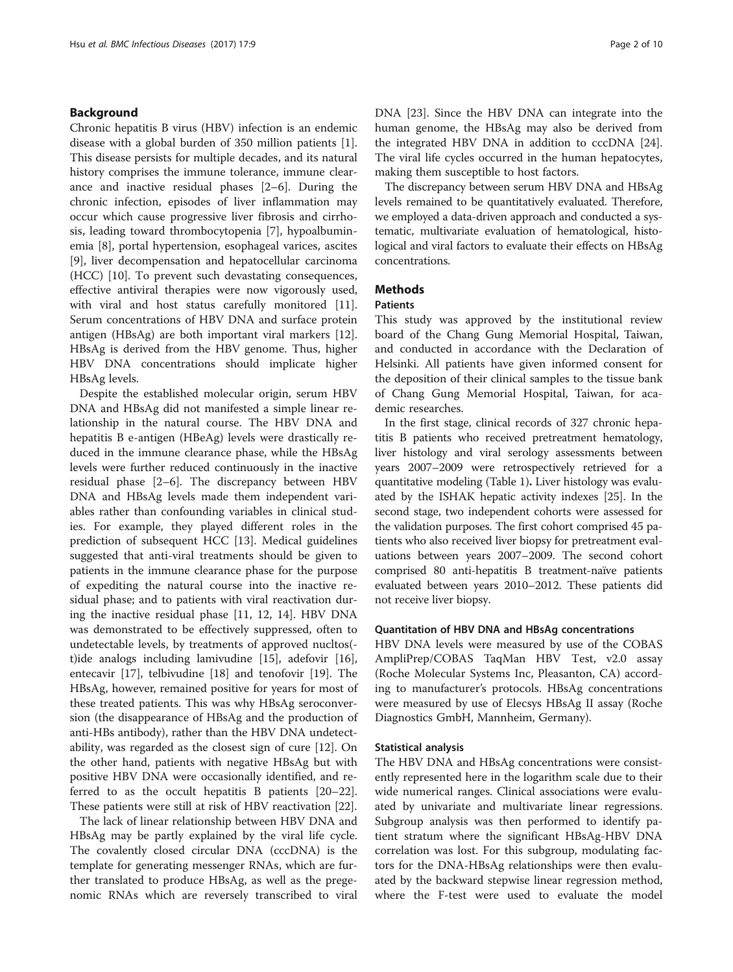## Background

Chronic hepatitis B virus (HBV) infection is an endemic disease with a global burden of 350 million patients [\[1](#page-9-0)]. This disease persists for multiple decades, and its natural history comprises the immune tolerance, immune clearance and inactive residual phases [\[2](#page-9-0)–[6\]](#page-9-0). During the chronic infection, episodes of liver inflammation may occur which cause progressive liver fibrosis and cirrhosis, leading toward thrombocytopenia [\[7](#page-9-0)], hypoalbuminemia [[8\]](#page-9-0), portal hypertension, esophageal varices, ascites [[9\]](#page-9-0), liver decompensation and hepatocellular carcinoma (HCC) [[10\]](#page-9-0). To prevent such devastating consequences, effective antiviral therapies were now vigorously used, with viral and host status carefully monitored [\[11](#page-9-0)]. Serum concentrations of HBV DNA and surface protein antigen (HBsAg) are both important viral markers [\[12](#page-9-0)]. HBsAg is derived from the HBV genome. Thus, higher HBV DNA concentrations should implicate higher HBsAg levels.

Despite the established molecular origin, serum HBV DNA and HBsAg did not manifested a simple linear relationship in the natural course. The HBV DNA and hepatitis B e-antigen (HBeAg) levels were drastically reduced in the immune clearance phase, while the HBsAg levels were further reduced continuously in the inactive residual phase [\[2](#page-9-0)–[6\]](#page-9-0). The discrepancy between HBV DNA and HBsAg levels made them independent variables rather than confounding variables in clinical studies. For example, they played different roles in the prediction of subsequent HCC [\[13](#page-9-0)]. Medical guidelines suggested that anti-viral treatments should be given to patients in the immune clearance phase for the purpose of expediting the natural course into the inactive residual phase; and to patients with viral reactivation during the inactive residual phase [[11, 12, 14](#page-9-0)]. HBV DNA was demonstrated to be effectively suppressed, often to undetectable levels, by treatments of approved nucltos( t)ide analogs including lamivudine [[15](#page-9-0)], adefovir [\[16](#page-9-0)], entecavir [\[17\]](#page-9-0), telbivudine [[18](#page-9-0)] and tenofovir [[19\]](#page-9-0). The HBsAg, however, remained positive for years for most of these treated patients. This was why HBsAg seroconversion (the disappearance of HBsAg and the production of anti-HBs antibody), rather than the HBV DNA undetectability, was regarded as the closest sign of cure [[12\]](#page-9-0). On the other hand, patients with negative HBsAg but with positive HBV DNA were occasionally identified, and referred to as the occult hepatitis B patients [[20](#page-9-0)–[22](#page-9-0)]. These patients were still at risk of HBV reactivation [\[22\]](#page-9-0).

The lack of linear relationship between HBV DNA and HBsAg may be partly explained by the viral life cycle. The covalently closed circular DNA (cccDNA) is the template for generating messenger RNAs, which are further translated to produce HBsAg, as well as the pregenomic RNAs which are reversely transcribed to viral DNA [[23\]](#page-9-0). Since the HBV DNA can integrate into the human genome, the HBsAg may also be derived from the integrated HBV DNA in addition to cccDNA [\[24](#page-9-0)]. The viral life cycles occurred in the human hepatocytes, making them susceptible to host factors.

The discrepancy between serum HBV DNA and HBsAg levels remained to be quantitatively evaluated. Therefore, we employed a data-driven approach and conducted a systematic, multivariate evaluation of hematological, histological and viral factors to evaluate their effects on HBsAg concentrations.

## **Methods**

### Patients

This study was approved by the institutional review board of the Chang Gung Memorial Hospital, Taiwan, and conducted in accordance with the Declaration of Helsinki. All patients have given informed consent for the deposition of their clinical samples to the tissue bank of Chang Gung Memorial Hospital, Taiwan, for academic researches.

In the first stage, clinical records of 327 chronic hepatitis B patients who received pretreatment hematology, liver histology and viral serology assessments between years 2007–2009 were retrospectively retrieved for a quantitative modeling (Table [1](#page-2-0)). Liver histology was evaluated by the ISHAK hepatic activity indexes [[25](#page-9-0)]. In the second stage, two independent cohorts were assessed for the validation purposes. The first cohort comprised 45 patients who also received liver biopsy for pretreatment evaluations between years 2007–2009. The second cohort comprised 80 anti-hepatitis B treatment-naïve patients evaluated between years 2010–2012. These patients did not receive liver biopsy.

### Quantitation of HBV DNA and HBsAg concentrations

HBV DNA levels were measured by use of the COBAS AmpliPrep/COBAS TaqMan HBV Test, v2.0 assay (Roche Molecular Systems Inc, Pleasanton, CA) according to manufacturer's protocols. HBsAg concentrations were measured by use of Elecsys HBsAg II assay (Roche Diagnostics GmbH, Mannheim, Germany).

### Statistical analysis

The HBV DNA and HBsAg concentrations were consistently represented here in the logarithm scale due to their wide numerical ranges. Clinical associations were evaluated by univariate and multivariate linear regressions. Subgroup analysis was then performed to identify patient stratum where the significant HBsAg-HBV DNA correlation was lost. For this subgroup, modulating factors for the DNA-HBsAg relationships were then evaluated by the backward stepwise linear regression method, where the F-test were used to evaluate the model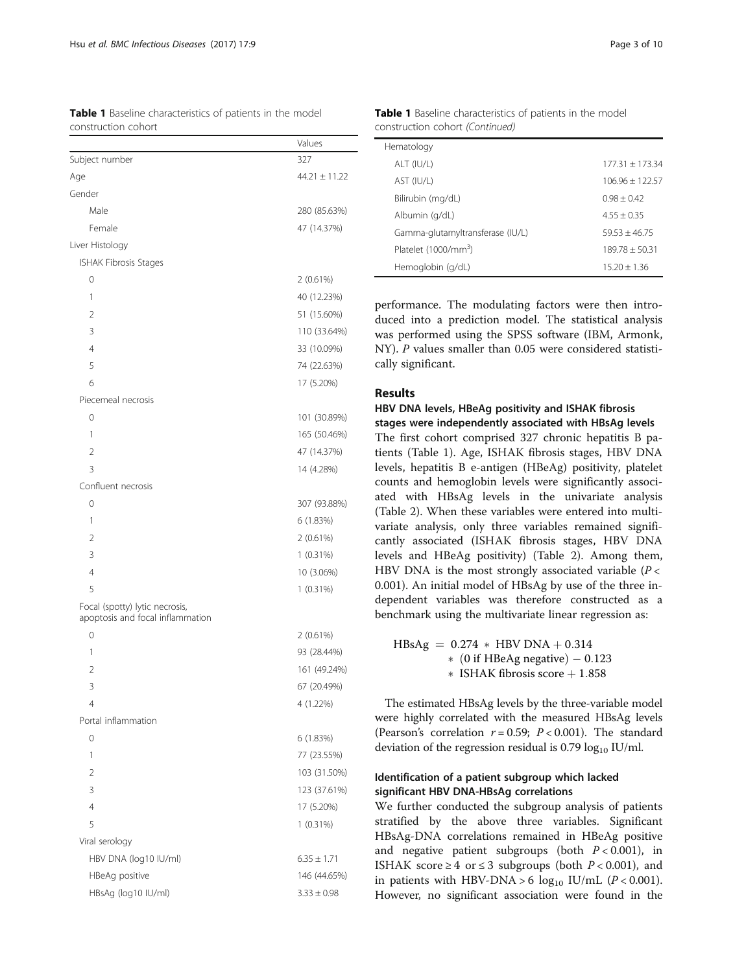<span id="page-2-0"></span>

|                     | Table 1 Baseline characteristics of patients in the model |  |  |  |
|---------------------|-----------------------------------------------------------|--|--|--|
| construction cohort |                                                           |  |  |  |

|                                                                    | Values            |
|--------------------------------------------------------------------|-------------------|
| Subject number                                                     | 327               |
| Age                                                                | $44.21 \pm 11.22$ |
| Gender                                                             |                   |
| Male                                                               | 280 (85.63%)      |
| Female                                                             | 47 (14.37%)       |
| Liver Histology                                                    |                   |
| <b>ISHAK Fibrosis Stages</b>                                       |                   |
| 0                                                                  | 2(0.61%)          |
| 1                                                                  | 40 (12.23%)       |
| 2                                                                  | 51 (15.60%)       |
| 3                                                                  | 110 (33.64%)      |
| 4                                                                  | 33 (10.09%)       |
| 5                                                                  | 74 (22.63%)       |
| 6                                                                  | 17 (5.20%)        |
| Piecemeal necrosis                                                 |                   |
| 0                                                                  | 101 (30.89%)      |
| 1                                                                  | 165 (50.46%)      |
| $\overline{2}$                                                     | 47 (14.37%)       |
| 3                                                                  | 14 (4.28%)        |
| Confluent necrosis                                                 |                   |
| 0                                                                  | 307 (93.88%)      |
| 1                                                                  | 6 (1.83%)         |
| 2                                                                  | 2(0.61%)          |
| 3                                                                  | $1(0.31\%)$       |
| 4                                                                  | 10 (3.06%)        |
| 5                                                                  | $1(0.31\%)$       |
| Focal (spotty) lytic necrosis,<br>apoptosis and focal inflammation |                   |
| 0                                                                  | 2 (0.61%)         |
| 1                                                                  | 93 (28.44%)       |
| $\overline{2}$                                                     | 161 (49.24%)      |
| 3                                                                  | 67 (20.49%)       |
| 4                                                                  | 4 (1.22%)         |
| Portal inflammation                                                |                   |
| 0                                                                  | 6 (1.83%)         |
| 1                                                                  | 77 (23.55%)       |
| $\overline{2}$                                                     | 103 (31.50%)      |
| 3                                                                  | 123 (37.61%)      |
| 4                                                                  | 17 (5.20%)        |
| 5                                                                  | $1(0.31\%)$       |
| Viral serology                                                     |                   |
| HBV DNA (log10 IU/ml)                                              | $6.35 \pm 1.71$   |
| HBeAg positive                                                     | 146 (44.65%)      |
| HBsAg (log10 IU/ml)                                                | $3.33 \pm 0.98$   |

Table 1 Baseline characteristics of patients in the model construction cohort (Continued)

| Hematology                       |                   |
|----------------------------------|-------------------|
| ALT (IU/L)                       | $177.31 + 173.34$ |
| AST (IU/L)                       | $106.96 + 122.57$ |
| Bilirubin (mg/dL)                | $0.98 + 0.42$     |
| Albumin (g/dL)                   | $4.55 + 0.35$     |
| Gamma-glutamyltransferase (IU/L) | $59.53 + 46.75$   |
| Platelet (1000/mm <sup>3</sup> ) | $189.78 + 50.31$  |
| Hemoglobin (g/dL)                | $1520 + 136$      |
|                                  |                   |

performance. The modulating factors were then introduced into a prediction model. The statistical analysis was performed using the SPSS software (IBM, Armonk, NY). P values smaller than 0.05 were considered statistically significant.

## Results

## HBV DNA levels, HBeAg positivity and ISHAK fibrosis stages were independently associated with HBsAg levels

The first cohort comprised 327 chronic hepatitis B patients (Table 1). Age, ISHAK fibrosis stages, HBV DNA levels, hepatitis B e-antigen (HBeAg) positivity, platelet counts and hemoglobin levels were significantly associated with HBsAg levels in the univariate analysis (Table [2](#page-3-0)). When these variables were entered into multivariate analysis, only three variables remained significantly associated (ISHAK fibrosis stages, HBV DNA levels and HBeAg positivity) (Table [2\)](#page-3-0). Among them, HBV DNA is the most strongly associated variable ( $P <$ 0.001). An initial model of HBsAg by use of the three independent variables was therefore constructed as a benchmark using the multivariate linear regression as:

| $HBsAg = 0.274 * HBV DNA + 0.314$                 |
|---------------------------------------------------|
| $*(0 \text{ if } HBeAg \text{ negative}) - 0.123$ |
| * ISHAK fibrosis score $+1.858$                   |

The estimated HBsAg levels by the three-variable model were highly correlated with the measured HBsAg levels (Pearson's correlation  $r = 0.59$ ;  $P < 0.001$ ). The standard deviation of the regression residual is  $0.79 \log_{10}$  IU/ml.

## Identification of a patient subgroup which lacked significant HBV DNA-HBsAg correlations

We further conducted the subgroup analysis of patients stratified by the above three variables. Significant HBsAg-DNA correlations remained in HBeAg positive and negative patient subgroups (both  $P < 0.001$ ), in ISHAK score  $\geq 4$  or  $\leq 3$  subgroups (both  $P < 0.001$ ), and in patients with HBV-DNA > 6  $log_{10}$  IU/mL (P < 0.001). However, no significant association were found in the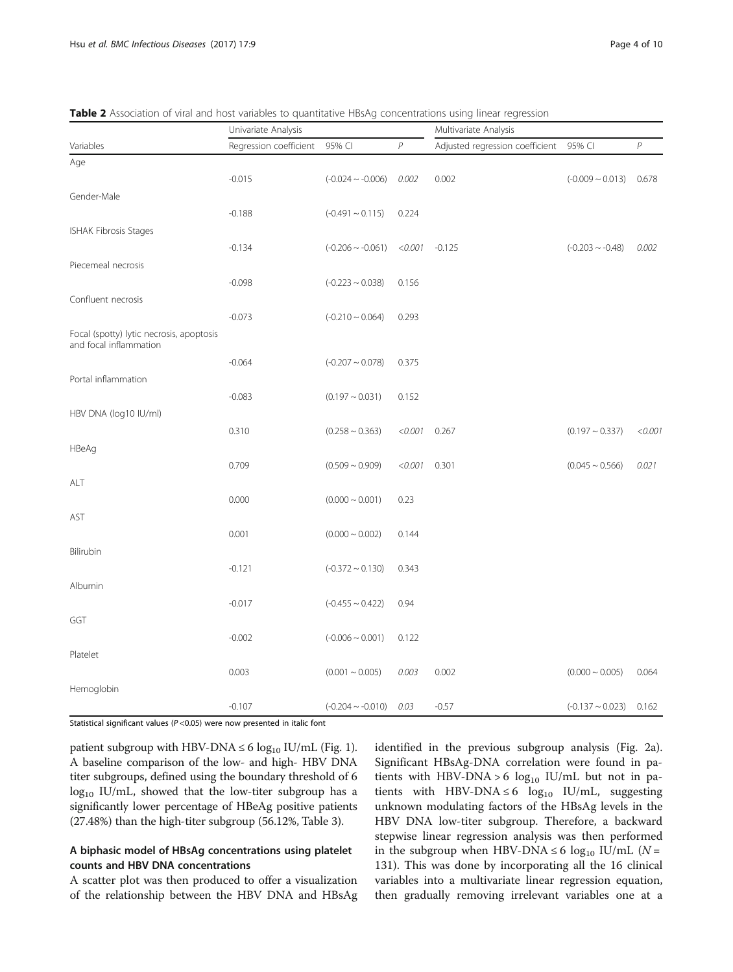| Regression coefficient<br>$\boldsymbol{P}$<br>95% CI<br>$\mathcal P$<br>Adjusted regression coefficient<br>95% CI<br>Variables<br>Age<br>$-0.015$<br>0.002<br>$(-0.024 \sim -0.006)$<br>0.002<br>$(-0.009 - 0.013)$<br>Gender-Male<br>$-0.188$<br>$(-0.491 \sim 0.115)$<br>0.224<br>ISHAK Fibrosis Stages<br>$-0.134$<br>$(-0.206 \sim -0.061)$<br>< 0.001<br>$-0.125$<br>$(-0.203 \sim -0.48)$<br>Piecemeal necrosis | 0.678<br>0.002 |
|-----------------------------------------------------------------------------------------------------------------------------------------------------------------------------------------------------------------------------------------------------------------------------------------------------------------------------------------------------------------------------------------------------------------------|----------------|
|                                                                                                                                                                                                                                                                                                                                                                                                                       |                |
|                                                                                                                                                                                                                                                                                                                                                                                                                       |                |
|                                                                                                                                                                                                                                                                                                                                                                                                                       |                |
|                                                                                                                                                                                                                                                                                                                                                                                                                       |                |
|                                                                                                                                                                                                                                                                                                                                                                                                                       |                |
|                                                                                                                                                                                                                                                                                                                                                                                                                       |                |
|                                                                                                                                                                                                                                                                                                                                                                                                                       |                |
|                                                                                                                                                                                                                                                                                                                                                                                                                       |                |
| $-0.098$<br>$(-0.223 - 0.038)$<br>0.156                                                                                                                                                                                                                                                                                                                                                                               |                |
| Confluent necrosis                                                                                                                                                                                                                                                                                                                                                                                                    |                |
| $-0.073$<br>$(-0.210 - 0.064)$<br>0.293                                                                                                                                                                                                                                                                                                                                                                               |                |
| Focal (spotty) lytic necrosis, apoptosis<br>and focal inflammation                                                                                                                                                                                                                                                                                                                                                    |                |
| $-0.064$<br>$(-0.207 - 0.078)$<br>0.375                                                                                                                                                                                                                                                                                                                                                                               |                |
| Portal inflammation                                                                                                                                                                                                                                                                                                                                                                                                   |                |
| $-0.083$<br>$(0.197 - 0.031)$<br>0.152                                                                                                                                                                                                                                                                                                                                                                                |                |
| HBV DNA (log10 IU/ml)                                                                                                                                                                                                                                                                                                                                                                                                 |                |
| 0.310<br>$(0.258 \sim 0.363)$<br>< 0.001<br>0.267<br>$(0.197 - 0.337)$                                                                                                                                                                                                                                                                                                                                                | < 0.001        |
| HBeAg                                                                                                                                                                                                                                                                                                                                                                                                                 |                |
| 0.709<br>$(0.509 - 0.909)$<br>$(0.045 \sim 0.566)$<br>$< 0.001$ 0.301                                                                                                                                                                                                                                                                                                                                                 | 0.021          |
| ALT                                                                                                                                                                                                                                                                                                                                                                                                                   |                |
| 0.000<br>$(0.000 \sim 0.001)$<br>0.23                                                                                                                                                                                                                                                                                                                                                                                 |                |
| AST                                                                                                                                                                                                                                                                                                                                                                                                                   |                |
| 0.001<br>$(0.000 \sim 0.002)$<br>0.144                                                                                                                                                                                                                                                                                                                                                                                |                |
| Bilirubin                                                                                                                                                                                                                                                                                                                                                                                                             |                |
| $-0.121$<br>$(-0.372 \sim 0.130)$<br>0.343                                                                                                                                                                                                                                                                                                                                                                            |                |
| Albumin                                                                                                                                                                                                                                                                                                                                                                                                               |                |
| $-0.017$<br>$(-0.455 - 0.422)$<br>0.94                                                                                                                                                                                                                                                                                                                                                                                |                |
| GGT                                                                                                                                                                                                                                                                                                                                                                                                                   |                |
| $-0.002$<br>$(-0.006 - 0.001)$<br>0.122                                                                                                                                                                                                                                                                                                                                                                               |                |
| Platelet                                                                                                                                                                                                                                                                                                                                                                                                              |                |
| 0.003<br>$(0.001 \sim 0.005)$<br>0.003<br>0.002<br>$(0.000 \sim 0.005)$                                                                                                                                                                                                                                                                                                                                               | 0.064          |
| Hemoglobin                                                                                                                                                                                                                                                                                                                                                                                                            |                |
| $-0.57$<br>$-0.107$<br>$(-0.204 \sim -0.010)$<br>0.03<br>$(-0.137 - 0.023)$                                                                                                                                                                                                                                                                                                                                           | 0.162          |

<span id="page-3-0"></span>Table 2 Association of viral and host variables to quantitative HBsAg concentrations using linear regression

Statistical significant values ( $P$  <0.05) were now presented in italic font

patient subgroup with HBV-DNA  $\leq 6 \log_{10}$  IU/mL (Fig. [1](#page-4-0)). A baseline comparison of the low- and high- HBV DNA titer subgroups, defined using the boundary threshold of 6  $log_{10}$  IU/mL, showed that the low-titer subgroup has a significantly lower percentage of HBeAg positive patients (27.48%) than the high-titer subgroup (56.12%, Table [3](#page-4-0)).

## A biphasic model of HBsAg concentrations using platelet counts and HBV DNA concentrations

A scatter plot was then produced to offer a visualization of the relationship between the HBV DNA and HBsAg identified in the previous subgroup analysis (Fig. [2a](#page-6-0)). Significant HBsAg-DNA correlation were found in patients with HBV-DNA > 6  $log_{10}$  IU/mL but not in patients with HBV-DNA ≤ 6  $log_{10}$  IU/mL, suggesting unknown modulating factors of the HBsAg levels in the HBV DNA low-titer subgroup. Therefore, a backward stepwise linear regression analysis was then performed in the subgroup when HBV-DNA ≤ 6 log<sub>10</sub> IU/mL ( $N =$ 131). This was done by incorporating all the 16 clinical variables into a multivariate linear regression equation, then gradually removing irrelevant variables one at a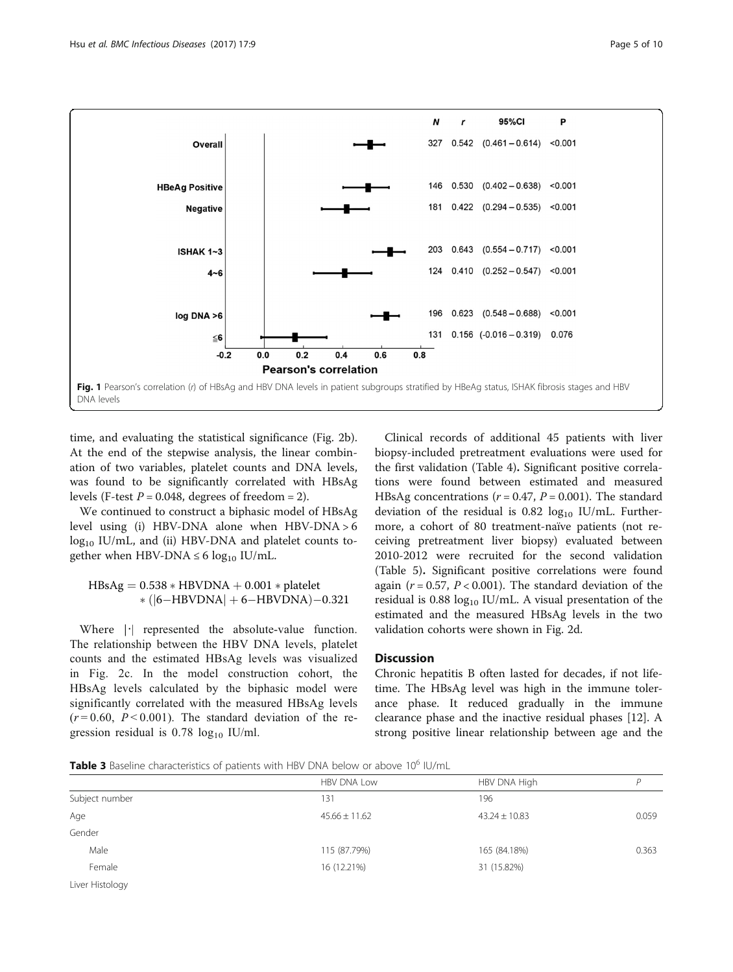<span id="page-4-0"></span>

time, and evaluating the statistical significance (Fig. [2b](#page-6-0)). At the end of the stepwise analysis, the linear combination of two variables, platelet counts and DNA levels, was found to be significantly correlated with HBsAg levels (F-test  $P = 0.048$ , degrees of freedom = 2).

We continued to construct a biphasic model of HBsAg level using (i) HBV-DNA alone when HBV-DNA > 6 log<sub>10</sub> IU/mL, and (ii) HBV-DNA and platelet counts together when HBV-DNA  $\leq 6 \log_{10}$  IU/mL.

## $\mathrm{HBsAg} = 0.538 * \mathrm{HBVDNA} + 0.001 * \mathrm{platelet}$  $*(|6 - HBVDNA| + 6 - HBVDNA) - 0.321$

Where  $|\cdot|$  represented the absolute-value function. The relationship between the HBV DNA levels, platelet counts and the estimated HBsAg levels was visualized in Fig. [2c.](#page-6-0) In the model construction cohort, the HBsAg levels calculated by the biphasic model were significantly correlated with the measured HBsAg levels  $(r=0.60, P<0.001)$ . The standard deviation of the regression residual is  $0.78 \log_{10}$  IU/ml.

Clinical records of additional 45 patients with liver biopsy-included pretreatment evaluations were used for the first validation (Table [4\)](#page-7-0). Significant positive correlations were found between estimated and measured HBsAg concentrations ( $r = 0.47$ ,  $P = 0.001$ ). The standard deviation of the residual is  $0.82 \log_{10}$  IU/mL. Furthermore, a cohort of 80 treatment-naïve patients (not receiving pretreatment liver biopsy) evaluated between 2010-2012 were recruited for the second validation (Table [5](#page-8-0)). Significant positive correlations were found again ( $r = 0.57$ ,  $P < 0.001$ ). The standard deviation of the residual is 0.88  $log_{10}$  IU/mL. A visual presentation of the estimated and the measured HBsAg levels in the two validation cohorts were shown in Fig. [2d](#page-6-0).

## **Discussion**

Chronic hepatitis B often lasted for decades, if not lifetime. The HBsAg level was high in the immune tolerance phase. It reduced gradually in the immune clearance phase and the inactive residual phases [[12\]](#page-9-0). A strong positive linear relationship between age and the

Table 3 Baseline characteristics of patients with HBV DNA below or above 10<sup>6</sup> IU/mL

|                                           | HBV DNA Low       | HBV DNA High      |       |  |
|-------------------------------------------|-------------------|-------------------|-------|--|
| Subject number                            | 131               | 196               |       |  |
| Age                                       | $45.66 \pm 11.62$ | $43.24 \pm 10.83$ | 0.059 |  |
| Gender                                    |                   |                   |       |  |
| Male                                      | 115 (87.79%)      | 165 (84.18%)      | 0.363 |  |
| Female                                    | 16 (12.21%)       | 31 (15.82%)       |       |  |
| the company of the company of the company |                   |                   |       |  |

Liver Histology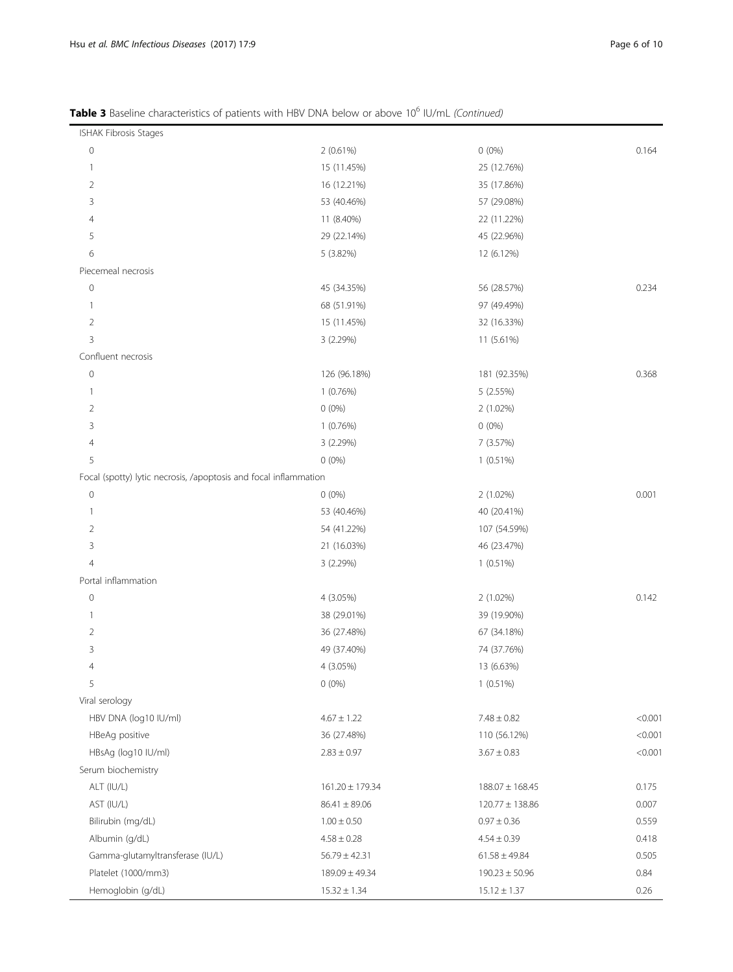## Table 3 Baseline characteristics of patients with HBV DNA below or above 10<sup>6</sup> IU/mL (Continued)

| ISHAK Fibrosis Stages                                            |                     |                     |         |
|------------------------------------------------------------------|---------------------|---------------------|---------|
| $\mathbb O$                                                      | 2 (0.61%)           | $0(0\%)$            | 0.164   |
| $\mathbf{1}$                                                     | 15 (11.45%)         | 25 (12.76%)         |         |
| 2                                                                | 16 (12.21%)         | 35 (17.86%)         |         |
| 3                                                                | 53 (40.46%)         | 57 (29.08%)         |         |
| 4                                                                | 11 (8.40%)          | 22 (11.22%)         |         |
| 5                                                                | 29 (22.14%)         | 45 (22.96%)         |         |
| 6                                                                | 5 (3.82%)           | 12 (6.12%)          |         |
| Piecemeal necrosis                                               |                     |                     |         |
| $\mathbf 0$                                                      | 45 (34.35%)         | 56 (28.57%)         | 0.234   |
| $\mathbf{1}$                                                     | 68 (51.91%)         | 97 (49.49%)         |         |
| $\overline{2}$                                                   | 15 (11.45%)         | 32 (16.33%)         |         |
| 3                                                                | 3(2.29%)            | 11 (5.61%)          |         |
| Confluent necrosis                                               |                     |                     |         |
| $\circ$                                                          | 126 (96.18%)        | 181 (92.35%)        | 0.368   |
| $\mathbf{1}$                                                     | 1(0.76%)            | 5 (2.55%)           |         |
| 2                                                                | $0(0\%)$            | 2 (1.02%)           |         |
| 3                                                                | 1(0.76%)            | $0(0\%)$            |         |
| 4                                                                | 3(2.29%)            | 7 (3.57%)           |         |
| 5                                                                | $0(0\%)$            | $1(0.51\%)$         |         |
| Focal (spotty) lytic necrosis, /apoptosis and focal inflammation |                     |                     |         |
| $\circ$                                                          | $0(0\%)$            | 2 (1.02%)           | 0.001   |
| $\mathbf{1}$                                                     | 53 (40.46%)         | 40 (20.41%)         |         |
| $\overline{2}$                                                   | 54 (41.22%)         | 107 (54.59%)        |         |
| 3                                                                | 21 (16.03%)         | 46 (23.47%)         |         |
| $\overline{4}$                                                   | 3(2.29%)            | $1(0.51\%)$         |         |
| Portal inflammation                                              |                     |                     |         |
| $\mathbf 0$                                                      | $4(3.05\%)$         | 2 (1.02%)           | 0.142   |
| $\mathbf{1}$                                                     | 38 (29.01%)         | 39 (19.90%)         |         |
| 2                                                                | 36 (27.48%)         | 67 (34.18%)         |         |
| 3                                                                | 49 (37.40%)         | 74 (37.76%)         |         |
| 4                                                                | 4 (3.05%)           | 13 (6.63%)          |         |
| 5                                                                | $0(0\%)$            | $1(0.51\%)$         |         |
| Viral serology                                                   |                     |                     |         |
| HBV DNA (log10 IU/ml)                                            | $4.67 \pm 1.22$     | $7.48 \pm 0.82$     | < 0.001 |
| HBeAg positive                                                   | 36 (27.48%)         | 110 (56.12%)        | < 0.001 |
| HBsAg (log10 IU/ml)                                              | $2.83 \pm 0.97$     | $3.67 \pm 0.83$     | < 0.001 |
| Serum biochemistry                                               |                     |                     |         |
| ALT (IU/L)                                                       | $161.20 \pm 179.34$ | $188.07 \pm 168.45$ | 0.175   |
| AST (IU/L)                                                       | $86.41 \pm 89.06$   | 120.77 ± 138.86     | 0.007   |
| Bilirubin (mg/dL)                                                | $1.00 \pm 0.50$     | $0.97 \pm 0.36$     | 0.559   |
| Albumin (g/dL)                                                   | $4.58 \pm 0.28$     | $4.54 \pm 0.39$     | 0.418   |
| Gamma-glutamyltransferase (IU/L)                                 | $56.79 \pm 42.31$   | $61.58 \pm 49.84$   | 0.505   |
| Platelet (1000/mm3)                                              | $189.09 \pm 49.34$  | $190.23 \pm 50.96$  | 0.84    |
| Hemoglobin (g/dL)                                                | $15.32 \pm 1.34$    | $15.12 \pm 1.37$    | 0.26    |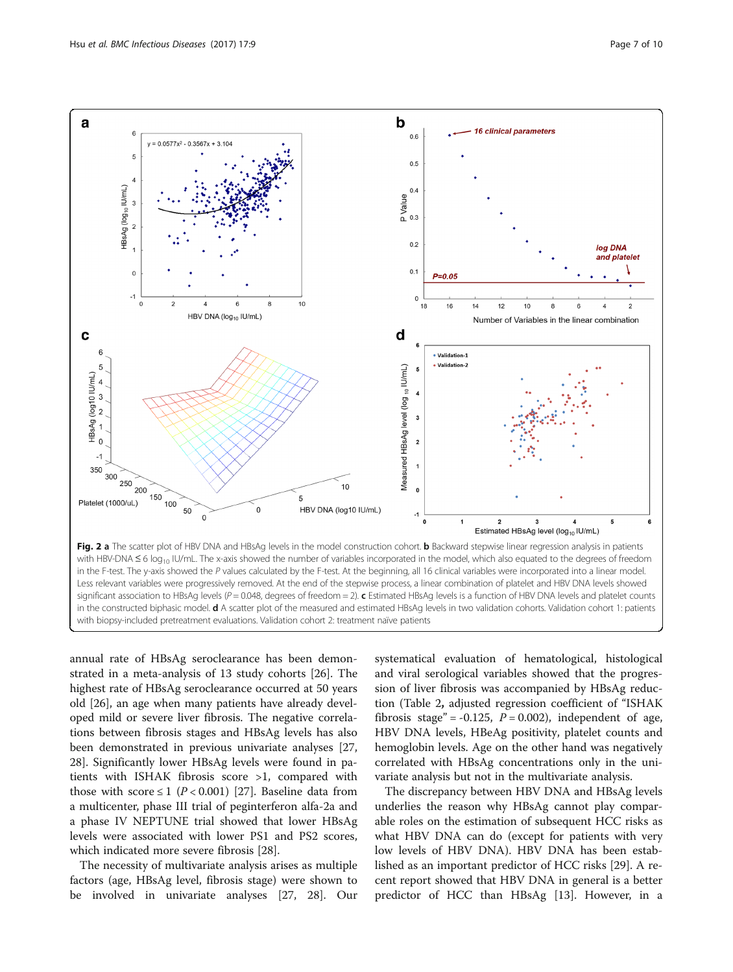<span id="page-6-0"></span>

in the F-test. The y-axis showed the P values calculated by the F-test. At the beginning, all 16 clinical variables were incorporated into a linear model. Less relevant variables were progressively removed. At the end of the stepwise process, a linear combination of platelet and HBV DNA levels showed significant association to HBsAg levels ( $P = 0.048$ , degrees of freedom = 2). c Estimated HBsAg levels is a function of HBV DNA levels and platelet counts in the constructed biphasic model. d A scatter plot of the measured and estimated HBsAg levels in two validation cohorts. Validation cohort 1: patients with biopsy-included pretreatment evaluations. Validation cohort 2: treatment naïve patients

annual rate of HBsAg seroclearance has been demonstrated in a meta-analysis of 13 study cohorts [[26](#page-9-0)]. The highest rate of HBsAg seroclearance occurred at 50 years old [\[26\]](#page-9-0), an age when many patients have already developed mild or severe liver fibrosis. The negative correlations between fibrosis stages and HBsAg levels has also been demonstrated in previous univariate analyses [[27](#page-9-0), [28\]](#page-9-0). Significantly lower HBsAg levels were found in patients with ISHAK fibrosis score >1, compared with those with score  $\leq 1$  (P < 0.001) [\[27](#page-9-0)]. Baseline data from a multicenter, phase III trial of peginterferon alfa-2a and a phase IV NEPTUNE trial showed that lower HBsAg levels were associated with lower PS1 and PS2 scores, which indicated more severe fibrosis [\[28](#page-9-0)].

The necessity of multivariate analysis arises as multiple factors (age, HBsAg level, fibrosis stage) were shown to be involved in univariate analyses [\[27, 28\]](#page-9-0). Our

systematical evaluation of hematological, histological and viral serological variables showed that the progression of liver fibrosis was accompanied by HBsAg reduction (Table [2](#page-3-0), adjusted regression coefficient of "ISHAK fibrosis stage" = -0.125,  $P = 0.002$ ), independent of age, HBV DNA levels, HBeAg positivity, platelet counts and hemoglobin levels. Age on the other hand was negatively correlated with HBsAg concentrations only in the univariate analysis but not in the multivariate analysis.

The discrepancy between HBV DNA and HBsAg levels underlies the reason why HBsAg cannot play comparable roles on the estimation of subsequent HCC risks as what HBV DNA can do (except for patients with very low levels of HBV DNA). HBV DNA has been established as an important predictor of HCC risks [[29\]](#page-9-0). A recent report showed that HBV DNA in general is a better predictor of HCC than HBsAg [[13](#page-9-0)]. However, in a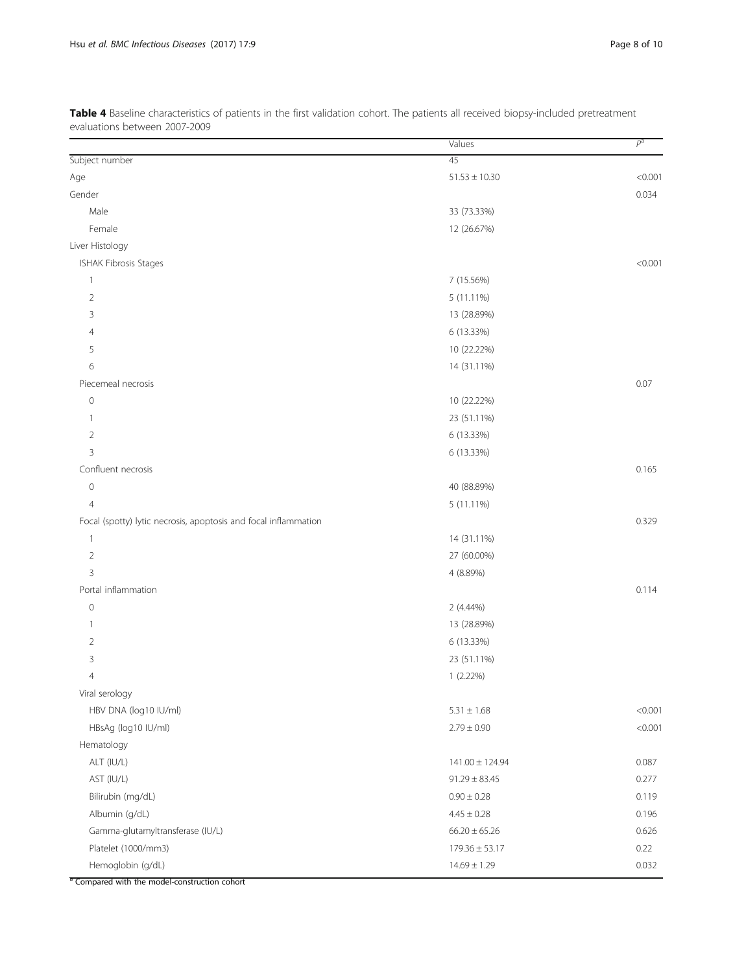<span id="page-7-0"></span>Table 4 Baseline characteristics of patients in the first validation cohort. The patients all received biopsy-included pretreatment evaluations between 2007-2009

|                                                                 | Values              | $P^a$   |
|-----------------------------------------------------------------|---------------------|---------|
| Subject number                                                  | 45                  |         |
| Age                                                             | $51.53 \pm 10.30$   | < 0.001 |
| Gender                                                          |                     | 0.034   |
| Male                                                            | 33 (73.33%)         |         |
| Female                                                          | 12 (26.67%)         |         |
| Liver Histology                                                 |                     |         |
| ISHAK Fibrosis Stages                                           |                     | < 0.001 |
| $\overline{1}$                                                  | 7 (15.56%)          |         |
| $\overline{2}$                                                  | 5 (11.11%)          |         |
| 3                                                               | 13 (28.89%)         |         |
| 4                                                               | 6 (13.33%)          |         |
| 5                                                               | 10 (22.22%)         |         |
| 6                                                               | 14 (31.11%)         |         |
| Piecemeal necrosis                                              |                     | 0.07    |
| $\mathbb O$                                                     | 10 (22.22%)         |         |
| $\overline{1}$                                                  | 23 (51.11%)         |         |
| $\overline{2}$                                                  | 6 (13.33%)          |         |
| 3                                                               | 6 (13.33%)          |         |
| Confluent necrosis                                              |                     | 0.165   |
| $\mathbf 0$                                                     | 40 (88.89%)         |         |
| $\overline{4}$                                                  | 5 (11.11%)          |         |
| Focal (spotty) lytic necrosis, apoptosis and focal inflammation |                     | 0.329   |
| $\overline{\phantom{a}}$                                        | 14 (31.11%)         |         |
| $\overline{2}$                                                  | 27 (60.00%)         |         |
| 3                                                               | 4 (8.89%)           |         |
| Portal inflammation                                             |                     | 0.114   |
| $\mathbf 0$                                                     | 2 (4.44%)           |         |
| $\overline{1}$                                                  | 13 (28.89%)         |         |
| 2                                                               | 6 (13.33%)          |         |
| 3                                                               | 23 (51.11%)         |         |
| 4                                                               | 1 (2.22%)           |         |
| Viral serology                                                  |                     |         |
| HBV DNA (log10 IU/ml)                                           | $5.31\pm1.68$       | < 0.001 |
| HBsAg (log10 IU/ml)                                             | $2.79 \pm 0.90$     | < 0.001 |
| Hematology                                                      |                     |         |
| ALT (IU/L)                                                      | $141.00 \pm 124.94$ | 0.087   |
| AST (IU/L)                                                      | $91.29 \pm 83.45$   | 0.277   |
| Bilirubin (mg/dL)                                               | $0.90 \pm 0.28$     | 0.119   |
| Albumin (g/dL)                                                  | $4.45 \pm 0.28$     | 0.196   |
| Gamma-glutamyltransferase (IU/L)                                | $66.20 \pm 65.26$   | 0.626   |
| Platelet (1000/mm3)                                             | $179.36 \pm 53.17$  | 0.22    |
| Hemoglobin (g/dL)                                               | $14.69 \pm 1.29$    | 0.032   |

<sup>a</sup> Compared with the model-construction cohort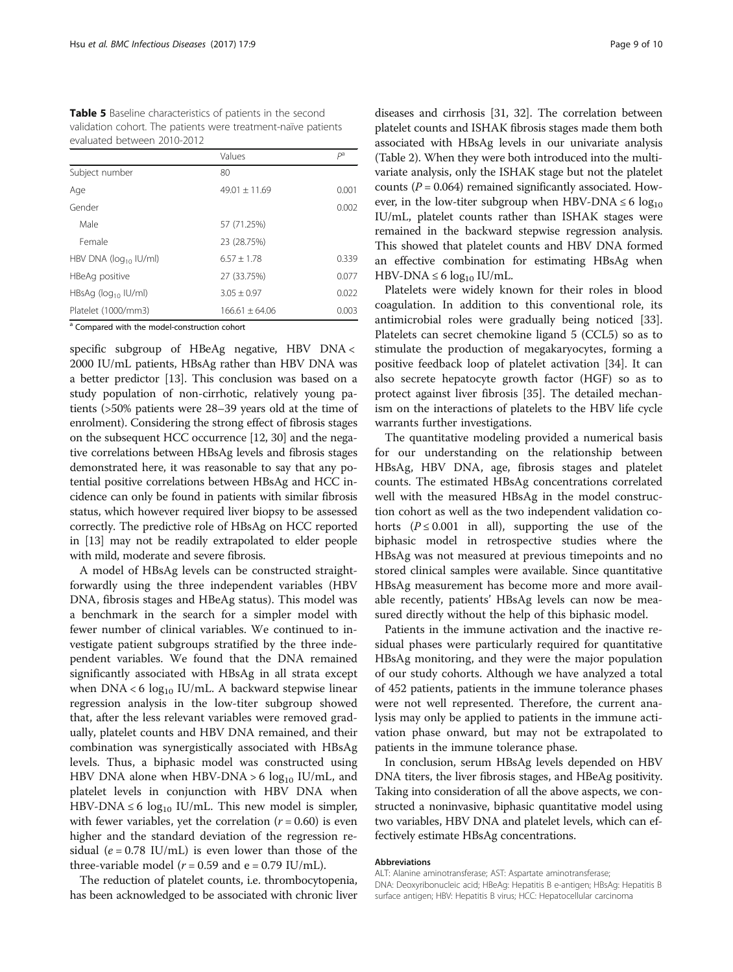<span id="page-8-0"></span>

| <b>Table 5</b> Baseline characteristics of patients in the second |
|-------------------------------------------------------------------|
| validation cohort. The patients were treatment-naïve patients     |
| evaluated between 2010-2012                                       |

|                             | Values            | $P^a$ |
|-----------------------------|-------------------|-------|
| Subject number              | 80                |       |
| Age                         | $49.01 \pm 11.69$ | 0.001 |
| Gender                      |                   | 0.002 |
| Male                        | 57 (71.25%)       |       |
| Female                      | 23 (28.75%)       |       |
| HBV DNA ( $log_{10}$ IU/ml) | $6.57 + 1.78$     | 0.339 |
| HBeAg positive              | 27 (33.75%)       | 0.077 |
| HBsAg ( $log_{10}$ IU/ml)   | $3.05 + 0.97$     | 0.022 |
| Platelet (1000/mm3)         | $166.61 + 64.06$  | 0.003 |

<sup>a</sup> Compared with the model-construction cohort

specific subgroup of HBeAg negative, HBV DNA < 2000 IU/mL patients, HBsAg rather than HBV DNA was a better predictor [\[13\]](#page-9-0). This conclusion was based on a study population of non-cirrhotic, relatively young patients (>50% patients were 28–39 years old at the time of enrolment). Considering the strong effect of fibrosis stages on the subsequent HCC occurrence [\[12, 30\]](#page-9-0) and the negative correlations between HBsAg levels and fibrosis stages demonstrated here, it was reasonable to say that any potential positive correlations between HBsAg and HCC incidence can only be found in patients with similar fibrosis status, which however required liver biopsy to be assessed correctly. The predictive role of HBsAg on HCC reported in [\[13\]](#page-9-0) may not be readily extrapolated to elder people with mild, moderate and severe fibrosis.

A model of HBsAg levels can be constructed straightforwardly using the three independent variables (HBV DNA, fibrosis stages and HBeAg status). This model was a benchmark in the search for a simpler model with fewer number of clinical variables. We continued to investigate patient subgroups stratified by the three independent variables. We found that the DNA remained significantly associated with HBsAg in all strata except when  $DNA < 6 log_{10}$  IU/mL. A backward stepwise linear regression analysis in the low-titer subgroup showed that, after the less relevant variables were removed gradually, platelet counts and HBV DNA remained, and their combination was synergistically associated with HBsAg levels. Thus, a biphasic model was constructed using HBV DNA alone when HBV-DNA > 6  $log_{10}$  IU/mL, and platelet levels in conjunction with HBV DNA when HBV-DNA  $\leq 6 \log_{10}$  IU/mL. This new model is simpler, with fewer variables, yet the correlation  $(r = 0.60)$  is even higher and the standard deviation of the regression residual ( $e = 0.78$  IU/mL) is even lower than those of the three-variable model ( $r = 0.59$  and e = 0.79 IU/mL).

The reduction of platelet counts, i.e. thrombocytopenia, has been acknowledged to be associated with chronic liver diseases and cirrhosis [[31](#page-9-0), [32](#page-9-0)]. The correlation between platelet counts and ISHAK fibrosis stages made them both associated with HBsAg levels in our univariate analysis (Table [2](#page-3-0)). When they were both introduced into the multivariate analysis, only the ISHAK stage but not the platelet counts ( $P = 0.064$ ) remained significantly associated. However, in the low-titer subgroup when HBV-DNA  $\leq 6 \log_{10}$ IU/mL, platelet counts rather than ISHAK stages were remained in the backward stepwise regression analysis. This showed that platelet counts and HBV DNA formed an effective combination for estimating HBsAg when HBV-DNA  $\leq 6 \log_{10}$  IU/mL.

Platelets were widely known for their roles in blood coagulation. In addition to this conventional role, its antimicrobial roles were gradually being noticed [\[33](#page-9-0)]. Platelets can secret chemokine ligand 5 (CCL5) so as to stimulate the production of megakaryocytes, forming a positive feedback loop of platelet activation [[34\]](#page-9-0). It can also secrete hepatocyte growth factor (HGF) so as to protect against liver fibrosis [\[35\]](#page-9-0). The detailed mechanism on the interactions of platelets to the HBV life cycle warrants further investigations.

The quantitative modeling provided a numerical basis for our understanding on the relationship between HBsAg, HBV DNA, age, fibrosis stages and platelet counts. The estimated HBsAg concentrations correlated well with the measured HBsAg in the model construction cohort as well as the two independent validation cohorts  $(P \le 0.001$  in all), supporting the use of the biphasic model in retrospective studies where the HBsAg was not measured at previous timepoints and no stored clinical samples were available. Since quantitative HBsAg measurement has become more and more available recently, patients' HBsAg levels can now be measured directly without the help of this biphasic model.

Patients in the immune activation and the inactive residual phases were particularly required for quantitative HBsAg monitoring, and they were the major population of our study cohorts. Although we have analyzed a total of 452 patients, patients in the immune tolerance phases were not well represented. Therefore, the current analysis may only be applied to patients in the immune activation phase onward, but may not be extrapolated to patients in the immune tolerance phase.

In conclusion, serum HBsAg levels depended on HBV DNA titers, the liver fibrosis stages, and HBeAg positivity. Taking into consideration of all the above aspects, we constructed a noninvasive, biphasic quantitative model using two variables, HBV DNA and platelet levels, which can effectively estimate HBsAg concentrations.

### Abbreviations

ALT: Alanine aminotransferase; AST: Aspartate aminotransferase; DNA: Deoxyribonucleic acid; HBeAg: Hepatitis B e-antigen; HBsAg: Hepatitis B surface antigen; HBV: Hepatitis B virus; HCC: Hepatocellular carcinoma